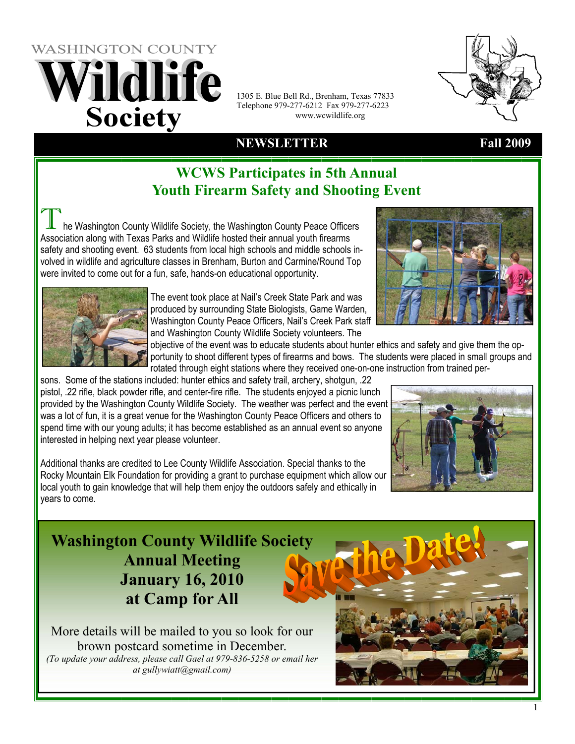# **WASHINGTON COUNTY** Vildlife **Society**

1305 E. Blue Bell Rd., Brenham, Texas 77833 Telephone 979-277-6212 Fax 979-277-6223 www.wcwildlife.org

### **NEWSLETTER Fall 2009**

### **WCWS Participates in 5th Annual Youth Firearm Safety and Shooting Event**

he Washington County Wildlife Society, the Washington County Peace Officers Association along with Texas Parks and Wildlife hosted their annual youth firearms safety and shooting event. 63 students from local high schools and middle schools involved in wildlife and agriculture classes in Brenham, Burton and Carmine/Round Top were invited to come out for a fun, safe, hands-on educational opportunity.



The event took place at Nail's Creek State Park and was produced by surrounding State Biologists, Game Warden, Washington County Peace Officers, Nail's Creek Park staff and Washington County Wildlife Society volunteers. The

objective of the event was to educate students about hunter ethics and safety and give them the opportunity to shoot different types of firearms and bows. The students were placed in small groups and rotated through eight stations where they received one-on-one instruction from trained per-

sons. Some of the stations included: hunter ethics and safety trail, archery, shotgun, .22 pistol, .22 rifle, black powder rifle, and center-fire rifle. The students enjoyed a picnic lunch provided by the Washington County Wildlife Society. The weather was perfect and the event was a lot of fun, it is a great venue for the Washington County Peace Officers and others to spend time with our young adults; it has become established as an annual event so anyone interested in helping next year please volunteer.

Additional thanks are credited to Lee County Wildlife Association. Special thanks to the Rocky Mountain Elk Foundation for providing a grant to purchase equipment which allow our local youth to gain knowledge that will help them enjoy the outdoors safely and ethically in years to come.



### **Washington County Wildlife Society Annual Meeting January 16, 2010 at Camp for All**



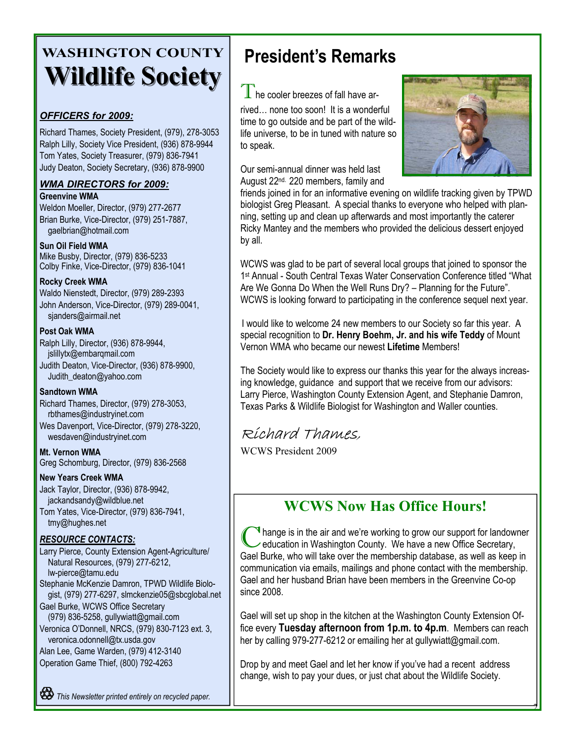## **WASHINGTON COUNTY Wildlife Society Wildlife Society**

#### *OFFICERS for 2009:*

Richard Thames, Society President, (979), 278-3053 Ralph Lilly, Society Vice President, (936) 878-9944 Tom Yates, Society Treasurer, (979) 836-7941 Judy Deaton, Society Secretary, (936) 878-9900

### *WMA DIRECTORS for 2009:*

**Greenvine WMA** 

Weldon Moeller, Director, (979) 277-2677 Brian Burke, Vice-Director, (979) 251-7887, gaelbrian@hotmail.com

#### **Sun Oil Field WMA**

Mike Busby, Director, (979) 836-5233 Colby Finke, Vice-Director, (979) 836-1041

#### **Rocky Creek WMA**

Waldo Nienstedt, Director, (979) 289-2393 John Anderson, Vice-Director, (979) 289-0041, sjanders@airmail.net

#### **Post Oak WMA**

Ralph Lilly, Director, (936) 878-9944, jslillytx@embarqmail.com Judith Deaton, Vice-Director, (936) 878-9900, Judith\_deaton@yahoo.com

#### **Sandtown WMA**

Richard Thames, Director, (979) 278-3053, rbthames@industryinet.com Wes Davenport, Vice-Director, (979) 278-3220, wesdaven@industryinet.com

**Mt. Vernon WMA**  Greg Schomburg, Director, (979) 836-2568

#### **New Years Creek WMA**

Jack Taylor, Director, (936) 878-9942, jackandsandy@wildblue.net Tom Yates, Vice-Director, (979) 836-7941, tmy@hughes.net

#### *RESOURCE CONTACTS:*

Larry Pierce, County Extension Agent-Agriculture/ Natural Resources, (979) 277-6212, lw-pierce@tamu.edu Stephanie McKenzie Damron, TPWD Wildlife Biologist, (979) 277-6297, slmckenzie05@sbcglobal.net Gael Burke, WCWS Office Secretary (979) 836-5258, gullywiatt@gmail.com Veronica O'Donnell, NRCS, (979) 830-7123 ext. 3, veronica.odonnell@tx.usda.gov Alan Lee, Game Warden, (979) 412-3140

Operation Game Thief, (800) 792-4263

## **President's Remarks**

 $\mathbb I$  he cooler breezes of fall have arrived… none too soon! It is a wonderful time to go outside and be part of the wildlife universe, to be in tuned with nature so to speak.

Our semi-annual dinner was held last August 22nd. 220 members, family and



friends joined in for an informative evening on wildlife tracking given by TPWD biologist Greg Pleasant. A special thanks to everyone who helped with planning, setting up and clean up afterwards and most importantly the caterer Ricky Mantey and the members who provided the delicious dessert enjoyed by all.

WCWS was glad to be part of several local groups that joined to sponsor the 1st Annual - South Central Texas Water Conservation Conference titled "What Are We Gonna Do When the Well Runs Dry? – Planning for the Future". WCWS is looking forward to participating in the conference sequel next year.

I would like to welcome 24 new members to our Society so far this year. A special recognition to **Dr. Henry Boehm, Jr. and his wife Teddy** of Mount Vernon WMA who became our newest **Lifetime** Members!

The Society would like to express our thanks this year for the always increasing knowledge, guidance and support that we receive from our advisors: Larry Pierce, Washington County Extension Agent, and Stephanie Damron, Texas Parks & Wildlife Biologist for Washington and Waller counties.

### Richard Thames,

WCWS President 2009

### **WCWS Now Has Office Hours!**

 $\blacksquare$  hange is in the air and we're working to grow our support for landowner education in Washington County. We have a new Office Secretary, Gael Burke, who will take over the membership database, as well as keep in communication via emails, mailings and phone contact with the membership. Gael and her husband Brian have been members in the Greenvine Co-op since 2008.

Gael will set up shop in the kitchen at the Washington County Extension Office every **Tuesday afternoon from 1p.m. to 4p.m**. Members can reach her by calling 979-277-6212 or emailing her at gullywiatt@gmail.com.

 $\overline{\mathcal{Z}}$ 

Drop by and meet Gael and let her know if you've had a recent address change, wish to pay your dues, or just chat about the Wildlife Society.

*This Newsletter printed entirely on recycled paper.*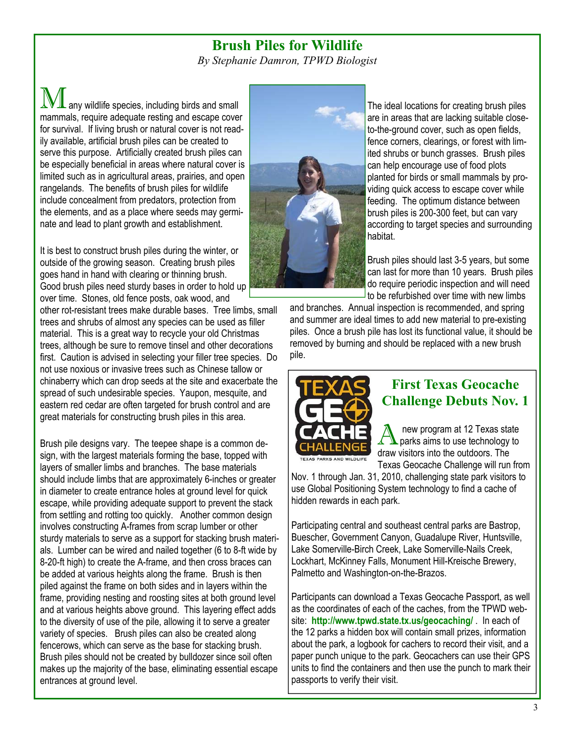#### **Brush Piles for Wildlife**

*By Stephanie Damron, TPWD Biologist* 

any wildlife species, including birds and small mammals, require adequate resting and escape cover for survival. If living brush or natural cover is not readily available, artificial brush piles can be created to serve this purpose. Artificially created brush piles can be especially beneficial in areas where natural cover is limited such as in agricultural areas, prairies, and open rangelands. The benefits of brush piles for wildlife include concealment from predators, protection from the elements, and as a place where seeds may germinate and lead to plant growth and establishment.

It is best to construct brush piles during the winter, or outside of the growing season. Creating brush piles goes hand in hand with clearing or thinning brush. Good brush piles need sturdy bases in order to hold up over time. Stones, old fence posts, oak wood, and

other rot-resistant trees make durable bases. Tree limbs, small trees and shrubs of almost any species can be used as filler material. This is a great way to recycle your old Christmas trees, although be sure to remove tinsel and other decorations first. Caution is advised in selecting your filler tree species. Do not use noxious or invasive trees such as Chinese tallow or chinaberry which can drop seeds at the site and exacerbate the spread of such undesirable species. Yaupon, mesquite, and eastern red cedar are often targeted for brush control and are great materials for constructing brush piles in this area.

Brush pile designs vary. The teepee shape is a common design, with the largest materials forming the base, topped with layers of smaller limbs and branches. The base materials should include limbs that are approximately 6-inches or greater in diameter to create entrance holes at ground level for quick escape, while providing adequate support to prevent the stack from settling and rotting too quickly. Another common design involves constructing A-frames from scrap lumber or other sturdy materials to serve as a support for stacking brush materials. Lumber can be wired and nailed together (6 to 8-ft wide by 8-20-ft high) to create the A-frame, and then cross braces can be added at various heights along the frame. Brush is then piled against the frame on both sides and in layers within the frame, providing nesting and roosting sites at both ground level and at various heights above ground. This layering effect adds to the diversity of use of the pile, allowing it to serve a greater variety of species. Brush piles can also be created along fencerows, which can serve as the base for stacking brush. Brush piles should not be created by bulldozer since soil often makes up the majority of the base, eliminating essential escape entrances at ground level.



The ideal locations for creating brush piles are in areas that are lacking suitable closeto-the-ground cover, such as open fields, fence corners, clearings, or forest with limited shrubs or bunch grasses. Brush piles can help encourage use of food plots planted for birds or small mammals by providing quick access to escape cover while feeding. The optimum distance between brush piles is 200-300 feet, but can vary according to target species and surrounding habitat.

Brush piles should last 3-5 years, but some can last for more than 10 years. Brush piles do require periodic inspection and will need to be refurbished over time with new limbs

and branches. Annual inspection is recommended, and spring and summer are ideal times to add new material to pre-existing piles. Once a brush pile has lost its functional value, it should be removed by burning and should be replaced with a new brush pile.



### **First Texas Geocache Challenge Debuts Nov. 1**

A new program at 12 Texas state<br>parks aims to use technology to draw visitors into the outdoors. The Texas Geocache Challenge will run from

Nov. 1 through Jan. 31, 2010, challenging state park visitors to use Global Positioning System technology to find a cache of hidden rewards in each park.

Participating central and southeast central parks are Bastrop, Buescher, Government Canyon, Guadalupe River, Huntsville, Lake Somerville-Birch Creek, Lake Somerville-Nails Creek, Lockhart, McKinney Falls, Monument Hill-Kreische Brewery, Palmetto and Washington-on-the-Brazos.

Participants can download a Texas Geocache Passport, as well as the coordinates of each of the caches, from the TPWD website: **http://www.tpwd.state.tx.us/geocaching/** . In each of the 12 parks a hidden box will contain small prizes, information about the park, a logbook for cachers to record their visit, and a paper punch unique to the park. Geocachers can use their GPS units to find the containers and then use the punch to mark their passports to verify their visit.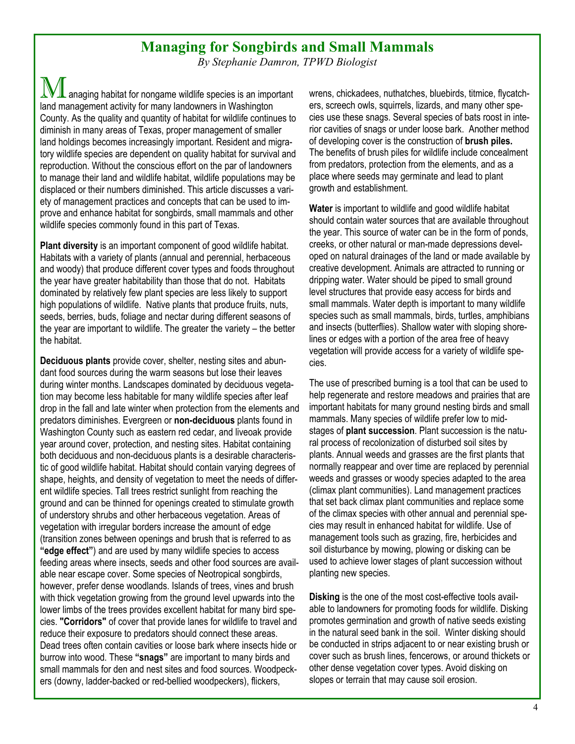#### **Managing for Songbirds and Small Mammals**

*By Stephanie Damron, TPWD Biologist* 

 $\mathbf{V}\mathbf{\mathbf{\bot}}$  anaging habitat for nongame wildlife species is an important land management activity for many landowners in Washington County. As the quality and quantity of habitat for wildlife continues to diminish in many areas of Texas, proper management of smaller land holdings becomes increasingly important. Resident and migratory wildlife species are dependent on quality habitat for survival and reproduction. Without the conscious effort on the par of landowners to manage their land and wildlife habitat, wildlife populations may be displaced or their numbers diminished. This article discusses a variety of management practices and concepts that can be used to improve and enhance habitat for songbirds, small mammals and other wildlife species commonly found in this part of Texas.

**Plant diversity** is an important component of good wildlife habitat. Habitats with a variety of plants (annual and perennial, herbaceous and woody) that produce different cover types and foods throughout the year have greater habitability than those that do not. Habitats dominated by relatively few plant species are less likely to support high populations of wildlife. Native plants that produce fruits, nuts, seeds, berries, buds, foliage and nectar during different seasons of the year are important to wildlife. The greater the variety – the better the habitat.

**Deciduous plants** provide cover, shelter, nesting sites and abundant food sources during the warm seasons but lose their leaves during winter months. Landscapes dominated by deciduous vegetation may become less habitable for many wildlife species after leaf drop in the fall and late winter when protection from the elements and predators diminishes. Evergreen or **non-deciduous** plants found in Washington County such as eastern red cedar, and liveoak provide year around cover, protection, and nesting sites. Habitat containing both deciduous and non-deciduous plants is a desirable characteristic of good wildlife habitat. Habitat should contain varying degrees of shape, heights, and density of vegetation to meet the needs of different wildlife species. Tall trees restrict sunlight from reaching the ground and can be thinned for openings created to stimulate growth of understory shrubs and other herbaceous vegetation. Areas of vegetation with irregular borders increase the amount of edge (transition zones between openings and brush that is referred to as **"edge effect"**) and are used by many wildlife species to access feeding areas where insects, seeds and other food sources are available near escape cover. Some species of Neotropical songbirds, however, prefer dense woodlands. Islands of trees, vines and brush with thick vegetation growing from the ground level upwards into the lower limbs of the trees provides excellent habitat for many bird species. **"Corridors"** of cover that provide lanes for wildlife to travel and reduce their exposure to predators should connect these areas. Dead trees often contain cavities or loose bark where insects hide or burrow into wood. These **"snags"** are important to many birds and small mammals for den and nest sites and food sources. Woodpeckers (downy, ladder-backed or red-bellied woodpeckers), flickers,

wrens, chickadees, nuthatches, bluebirds, titmice, flycatchers, screech owls, squirrels, lizards, and many other species use these snags. Several species of bats roost in interior cavities of snags or under loose bark. Another method of developing cover is the construction of **brush piles.**  The benefits of brush piles for wildlife include concealment from predators, protection from the elements, and as a place where seeds may germinate and lead to plant growth and establishment.

**Water** is important to wildlife and good wildlife habitat should contain water sources that are available throughout the year. This source of water can be in the form of ponds, creeks, or other natural or man-made depressions developed on natural drainages of the land or made available by creative development. Animals are attracted to running or dripping water. Water should be piped to small ground level structures that provide easy access for birds and small mammals. Water depth is important to many wildlife species such as small mammals, birds, turtles, amphibians and insects (butterflies). Shallow water with sloping shorelines or edges with a portion of the area free of heavy vegetation will provide access for a variety of wildlife species.

The use of prescribed burning is a tool that can be used to help regenerate and restore meadows and prairies that are important habitats for many ground nesting birds and small mammals. Many species of wildlife prefer low to midstages of **plant succession**. Plant succession is the natural process of recolonization of disturbed soil sites by plants. Annual weeds and grasses are the first plants that normally reappear and over time are replaced by perennial weeds and grasses or woody species adapted to the area (climax plant communities). Land management practices that set back climax plant communities and replace some of the climax species with other annual and perennial species may result in enhanced habitat for wildlife. Use of management tools such as grazing, fire, herbicides and soil disturbance by mowing, plowing or disking can be used to achieve lower stages of plant succession without planting new species.

**Disking** is the one of the most cost-effective tools available to landowners for promoting foods for wildlife. Disking promotes germination and growth of native seeds existing in the natural seed bank in the soil. Winter disking should be conducted in strips adjacent to or near existing brush or cover such as brush lines, fencerows, or around thickets or other dense vegetation cover types. Avoid disking on slopes or terrain that may cause soil erosion.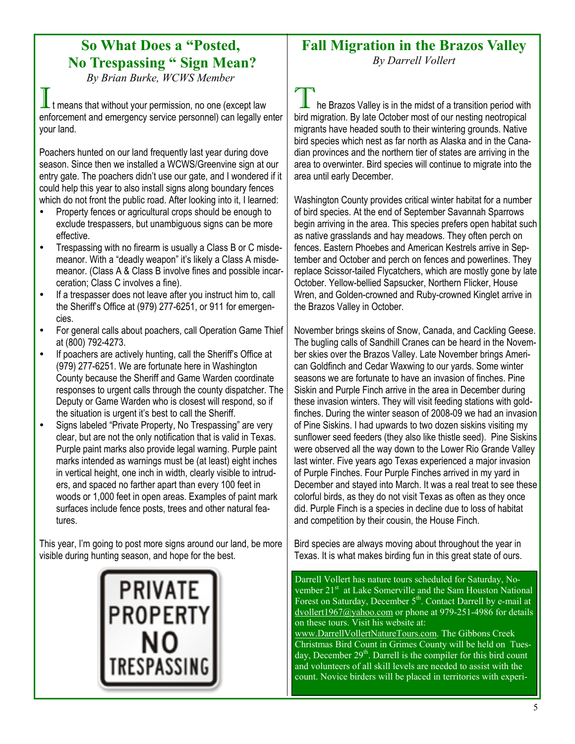### **So What Does a "Posted, No Trespassing " Sign Mean?**

*By Brian Burke, WCWS Member* 

t means that without your permission, no one (except law enforcement and emergency service personnel) can legally enter your land.

Poachers hunted on our land frequently last year during dove season. Since then we installed a WCWS/Greenvine sign at our entry gate. The poachers didn't use our gate, and I wondered if it could help this year to also install signs along boundary fences which do not front the public road. After looking into it, I learned:

- Property fences or agricultural crops should be enough to exclude trespassers, but unambiguous signs can be more effective.
- Trespassing with no firearm is usually a Class B or C misdemeanor. With a "deadly weapon" it's likely a Class A misdemeanor. (Class A & Class B involve fines and possible incarceration; Class C involves a fine).
- If a trespasser does not leave after you instruct him to, call the Sheriff's Office at (979) 277-6251, or 911 for emergencies.
- For general calls about poachers, call Operation Game Thief at (800) 792-4273.
- If poachers are actively hunting, call the Sheriff's Office at (979) 277-6251. We are fortunate here in Washington County because the Sheriff and Game Warden coordinate responses to urgent calls through the county dispatcher. The Deputy or Game Warden who is closest will respond, so if the situation is urgent it's best to call the Sheriff.
- Signs labeled "Private Property, No Trespassing" are very clear, but are not the only notification that is valid in Texas. Purple paint marks also provide legal warning. Purple paint marks intended as warnings must be (at least) eight inches in vertical height, one inch in width, clearly visible to intruders, and spaced no farther apart than every 100 feet in woods or 1,000 feet in open areas. Examples of paint mark surfaces include fence posts, trees and other natural features.

This year, I'm going to post more signs around our land, be more visible during hunting season, and hope for the best.



#### **Fall Migration in the Brazos Valley**  *By Darrell Vollert*

he Brazos Valley is in the midst of a transition period with bird migration. By late October most of our nesting neotropical migrants have headed south to their wintering grounds. Native bird species which nest as far north as Alaska and in the Canadian provinces and the northern tier of states are arriving in the area to overwinter. Bird species will continue to migrate into the area until early December.

Washington County provides critical winter habitat for a number of bird species. At the end of September Savannah Sparrows begin arriving in the area. This species prefers open habitat such as native grasslands and hay meadows. They often perch on fences. Eastern Phoebes and American Kestrels arrive in September and October and perch on fences and powerlines. They replace Scissor-tailed Flycatchers, which are mostly gone by late October. Yellow-bellied Sapsucker, Northern Flicker, House Wren, and Golden-crowned and Ruby-crowned Kinglet arrive in the Brazos Valley in October.

November brings skeins of Snow, Canada, and Cackling Geese. The bugling calls of Sandhill Cranes can be heard in the November skies over the Brazos Valley. Late November brings American Goldfinch and Cedar Waxwing to our yards. Some winter seasons we are fortunate to have an invasion of finches. Pine Siskin and Purple Finch arrive in the area in December during these invasion winters. They will visit feeding stations with goldfinches. During the winter season of 2008-09 we had an invasion of Pine Siskins. I had upwards to two dozen siskins visiting my sunflower seed feeders (they also like thistle seed). Pine Siskins were observed all the way down to the Lower Rio Grande Valley last winter. Five years ago Texas experienced a major invasion of Purple Finches. Four Purple Finches arrived in my yard in December and stayed into March. It was a real treat to see these colorful birds, as they do not visit Texas as often as they once did. Purple Finch is a species in decline due to loss of habitat and competition by their cousin, the House Finch.

Bird species are always moving about throughout the year in Texas. It is what makes birding fun in this great state of ours.

Darrell Vollert has nature tours scheduled for Saturday, November 21<sup>st</sup> at Lake Somerville and the Sam Houston National Forest on Saturday, December 5<sup>th</sup>. Contact Darrell by e-mail at dvollert1967@yahoo.com or phone at 979-251-4986 for details on these tours. Visit his website at: www.DarrellVollertNatureTours.com. The Gibbons Creek

Christmas Bird Count in Grimes County will be held on Tuesday, December 29<sup>th</sup>. Darrell is the compiler for this bird count and volunteers of all skill levels are needed to assist with the count. Novice birders will be placed in territories with experi-